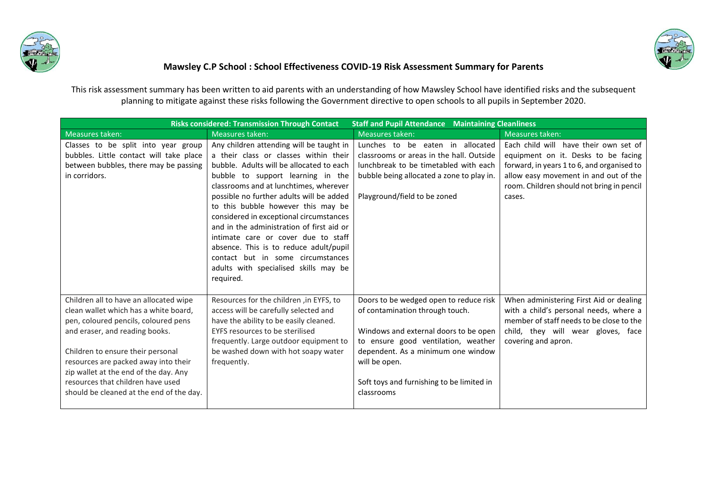



## **Mawsley C.P School : School Effectiveness COVID-19 Risk Assessment Summary for Parents**

This risk assessment summary has been written to aid parents with an understanding of how Mawsley School have identified risks and the subsequent planning to mitigate against these risks following the Government directive to open schools to all pupils in September 2020.

| <b>Staff and Pupil Attendance Maintaining Cleanliness</b><br><b>Risks considered: Transmission Through Contact</b> |                                                                                 |                                           |                                                                                    |  |
|--------------------------------------------------------------------------------------------------------------------|---------------------------------------------------------------------------------|-------------------------------------------|------------------------------------------------------------------------------------|--|
| Measures taken:                                                                                                    | Measures taken:                                                                 | Measures taken:                           | Measures taken:                                                                    |  |
| Classes to be split into year group                                                                                | Any children attending will be taught in                                        | Lunches to be eaten in allocated          | Each child will have their own set of                                              |  |
| bubbles. Little contact will take place                                                                            | a their class or classes within their                                           | classrooms or areas in the hall. Outside  | equipment on it. Desks to be facing                                                |  |
| between bubbles, there may be passing                                                                              | bubble. Adults will be allocated to each                                        | lunchbreak to be timetabled with each     | forward, in years 1 to 6, and organised to                                         |  |
| in corridors.                                                                                                      | bubble to support learning in the                                               | bubble being allocated a zone to play in. | allow easy movement in and out of the                                              |  |
|                                                                                                                    | classrooms and at lunchtimes, wherever                                          |                                           | room. Children should not bring in pencil                                          |  |
|                                                                                                                    | possible no further adults will be added                                        | Playground/field to be zoned              | cases.                                                                             |  |
|                                                                                                                    | to this bubble however this may be                                              |                                           |                                                                                    |  |
|                                                                                                                    | considered in exceptional circumstances                                         |                                           |                                                                                    |  |
|                                                                                                                    | and in the administration of first aid or                                       |                                           |                                                                                    |  |
|                                                                                                                    | intimate care or cover due to staff                                             |                                           |                                                                                    |  |
|                                                                                                                    | absence. This is to reduce adult/pupil                                          |                                           |                                                                                    |  |
|                                                                                                                    | contact but in some circumstances                                               |                                           |                                                                                    |  |
|                                                                                                                    | adults with specialised skills may be                                           |                                           |                                                                                    |  |
|                                                                                                                    | required.                                                                       |                                           |                                                                                    |  |
|                                                                                                                    |                                                                                 |                                           |                                                                                    |  |
| Children all to have an allocated wipe                                                                             | Resources for the children, in EYFS, to                                         | Doors to be wedged open to reduce risk    | When administering First Aid or dealing                                            |  |
| clean wallet which has a white board,<br>pen, coloured pencils, coloured pens                                      | access will be carefully selected and<br>have the ability to be easily cleaned. | of contamination through touch.           | with a child's personal needs, where a<br>member of staff needs to be close to the |  |
| and eraser, and reading books.                                                                                     | EYFS resources to be sterilised                                                 | Windows and external doors to be open     | child, they will wear gloves, face                                                 |  |
|                                                                                                                    | frequently. Large outdoor equipment to                                          | to ensure good ventilation, weather       | covering and apron.                                                                |  |
| Children to ensure their personal                                                                                  | be washed down with hot soapy water                                             | dependent. As a minimum one window        |                                                                                    |  |
| resources are packed away into their                                                                               | frequently.                                                                     | will be open.                             |                                                                                    |  |
| zip wallet at the end of the day. Any                                                                              |                                                                                 |                                           |                                                                                    |  |
| resources that children have used                                                                                  |                                                                                 | Soft toys and furnishing to be limited in |                                                                                    |  |
| should be cleaned at the end of the day.                                                                           |                                                                                 | classrooms                                |                                                                                    |  |
|                                                                                                                    |                                                                                 |                                           |                                                                                    |  |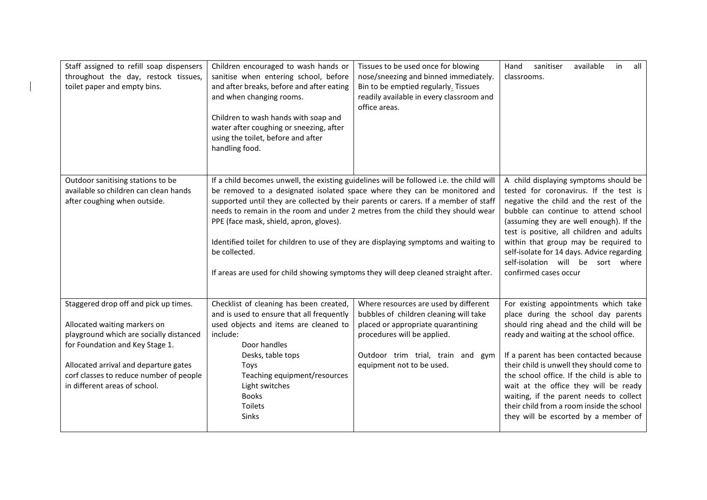| Staff assigned to refill soap dispensers<br>throughout the day, restock tissues,<br>toilet paper and empty bins.                                                                                                                                                         | Children encouraged to wash hands or<br>sanitise when entering school, before<br>and after breaks, before and after eating<br>and when changing rooms.<br>Children to wash hands with soap and<br>water after coughing or sneezing, after<br>using the toilet, before and after<br>handling food.                                                                                                                                                                                                                                                                                        | Tissues to be used once for blowing<br>nose/sneezing and binned immediately.<br>Bin to be emptied regularly. Tissues<br>readily available in every classroom and<br>office areas.                                      | in<br>Hand<br>sanitiser<br>available<br>all<br>classrooms.                                                                                                                                                                                                                                                                                                                                                                                                                      |
|--------------------------------------------------------------------------------------------------------------------------------------------------------------------------------------------------------------------------------------------------------------------------|------------------------------------------------------------------------------------------------------------------------------------------------------------------------------------------------------------------------------------------------------------------------------------------------------------------------------------------------------------------------------------------------------------------------------------------------------------------------------------------------------------------------------------------------------------------------------------------|------------------------------------------------------------------------------------------------------------------------------------------------------------------------------------------------------------------------|---------------------------------------------------------------------------------------------------------------------------------------------------------------------------------------------------------------------------------------------------------------------------------------------------------------------------------------------------------------------------------------------------------------------------------------------------------------------------------|
| Outdoor sanitising stations to be<br>available so children can clean hands<br>after coughing when outside.                                                                                                                                                               | If a child becomes unwell, the existing guidelines will be followed i.e. the child will<br>be removed to a designated isolated space where they can be monitored and<br>supported until they are collected by their parents or carers. If a member of staff<br>needs to remain in the room and under 2 metres from the child they should wear<br>PPE (face mask, shield, apron, gloves).<br>Identified toilet for children to use of they are displaying symptoms and waiting to<br>be collected.<br>If areas are used for child showing symptoms they will deep cleaned straight after. |                                                                                                                                                                                                                        | A child displaying symptoms should be<br>tested for coronavirus. If the test is<br>negative the child and the rest of the<br>bubble can continue to attend school<br>(assuming they are well enough). If the<br>test is positive, all children and adults<br>within that group may be required to<br>self-isolate for 14 days. Advice regarding<br>self-isolation will be sort where<br>confirmed cases occur                                                                   |
| Staggered drop off and pick up times.<br>Allocated waiting markers on<br>playground which are socially distanced<br>for Foundation and Key Stage 1.<br>Allocated arrival and departure gates<br>corf classes to reduce number of people<br>in different areas of school. | Checklist of cleaning has been created,<br>and is used to ensure that all frequently<br>used objects and items are cleaned to<br>include:<br>Door handles<br>Desks, table tops<br>Toys<br>Teaching equipment/resources<br>Light switches<br><b>Books</b><br>Toilets<br>Sinks                                                                                                                                                                                                                                                                                                             | Where resources are used by different<br>bubbles of children cleaning will take<br>placed or appropriate quarantining<br>procedures will be applied.<br>Outdoor trim trial, train and gym<br>equipment not to be used. | For existing appointments which take<br>place during the school day parents<br>should ring ahead and the child will be<br>ready and waiting at the school office.<br>If a parent has been contacted because<br>their child is unwell they should come to<br>the school office. If the child is able to<br>wait at the office they will be ready<br>waiting, if the parent needs to collect<br>their child from a room inside the school<br>they will be escorted by a member of |